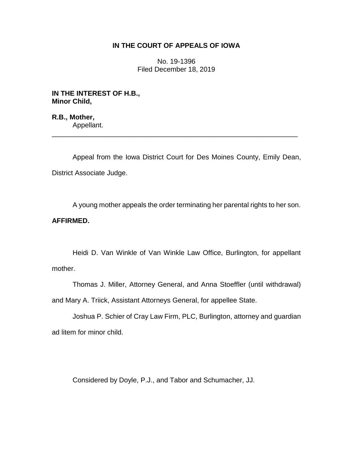# **IN THE COURT OF APPEALS OF IOWA**

No. 19-1396 Filed December 18, 2019

**IN THE INTEREST OF H.B., Minor Child,**

**R.B., Mother,** Appellant.

Appeal from the Iowa District Court for Des Moines County, Emily Dean, District Associate Judge.

\_\_\_\_\_\_\_\_\_\_\_\_\_\_\_\_\_\_\_\_\_\_\_\_\_\_\_\_\_\_\_\_\_\_\_\_\_\_\_\_\_\_\_\_\_\_\_\_\_\_\_\_\_\_\_\_\_\_\_\_\_\_\_\_

A young mother appeals the order terminating her parental rights to her son.

# **AFFIRMED.**

Heidi D. Van Winkle of Van Winkle Law Office, Burlington, for appellant mother.

Thomas J. Miller, Attorney General, and Anna Stoeffler (until withdrawal) and Mary A. Triick, Assistant Attorneys General, for appellee State.

Joshua P. Schier of Cray Law Firm, PLC, Burlington, attorney and guardian ad litem for minor child.

Considered by Doyle, P.J., and Tabor and Schumacher, JJ.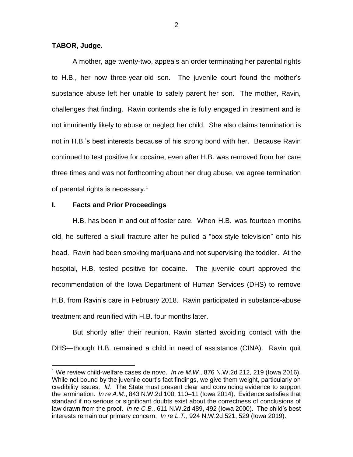# **TABOR, Judge.**

 $\overline{a}$ 

A mother, age twenty-two, appeals an order terminating her parental rights to H.B., her now three-year-old son. The juvenile court found the mother's substance abuse left her unable to safely parent her son. The mother, Ravin, challenges that finding. Ravin contends she is fully engaged in treatment and is not imminently likely to abuse or neglect her child. She also claims termination is not in H.B.'s best interests because of his strong bond with her. Because Ravin continued to test positive for cocaine, even after H.B. was removed from her care three times and was not forthcoming about her drug abuse, we agree termination of parental rights is necessary.<sup>1</sup>

### **I. Facts and Prior Proceedings**

H.B. has been in and out of foster care. When H.B. was fourteen months old, he suffered a skull fracture after he pulled a "box-style television" onto his head. Ravin had been smoking marijuana and not supervising the toddler. At the hospital, H.B. tested positive for cocaine. The juvenile court approved the recommendation of the Iowa Department of Human Services (DHS) to remove H.B. from Ravin's care in February 2018. Ravin participated in substance-abuse treatment and reunified with H.B. four months later.

But shortly after their reunion, Ravin started avoiding contact with the DHS—though H.B. remained a child in need of assistance (CINA). Ravin quit

<sup>1</sup> We review child-welfare cases de novo. *In re M.W.*, 876 N.W.2d 212, 219 (Iowa 2016). While not bound by the juvenile court's fact findings, we give them weight, particularly on credibility issues. *Id.* The State must present clear and convincing evidence to support the termination. *In re A.M.*, 843 N.W.2d 100, 110–11 (Iowa 2014). Evidence satisfies that standard if no serious or significant doubts exist about the correctness of conclusions of law drawn from the proof. *In re C.B.*, 611 N.W.2d 489, 492 (Iowa 2000). The child's best interests remain our primary concern. *In re L.T.*, 924 N.W.2d 521, 529 (Iowa 2019).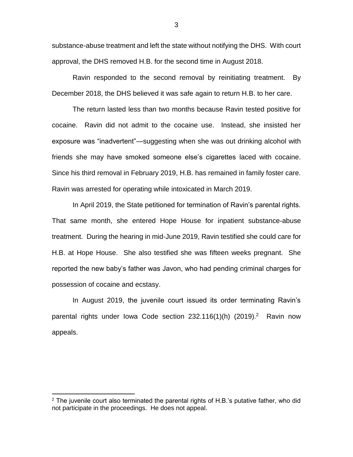substance-abuse treatment and left the state without notifying the DHS. With court approval, the DHS removed H.B. for the second time in August 2018.

Ravin responded to the second removal by reinitiating treatment. By December 2018, the DHS believed it was safe again to return H.B. to her care.

The return lasted less than two months because Ravin tested positive for cocaine. Ravin did not admit to the cocaine use. Instead, she insisted her exposure was "inadvertent"—suggesting when she was out drinking alcohol with friends she may have smoked someone else's cigarettes laced with cocaine. Since his third removal in February 2019, H.B. has remained in family foster care. Ravin was arrested for operating while intoxicated in March 2019.

In April 2019, the State petitioned for termination of Ravin's parental rights. That same month, she entered Hope House for inpatient substance-abuse treatment. During the hearing in mid-June 2019, Ravin testified she could care for H.B. at Hope House. She also testified she was fifteen weeks pregnant. She reported the new baby's father was Javon, who had pending criminal charges for possession of cocaine and ecstasy.

In August 2019, the juvenile court issued its order terminating Ravin's parental rights under Iowa Code section 232.116(1)(h) (2019).<sup>2</sup> Ravin now appeals.

 $\overline{a}$ 

3

 $2$  The juvenile court also terminated the parental rights of H.B.'s putative father, who did not participate in the proceedings. He does not appeal.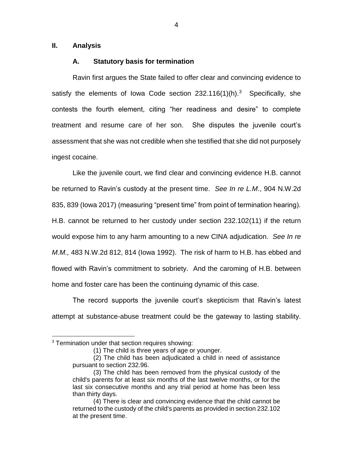### **II. Analysis**

#### **A. Statutory basis for termination**

Ravin first argues the State failed to offer clear and convincing evidence to satisfy the elements of lowa Code section  $232.116(1)$ (h).<sup>3</sup> Specifically, she contests the fourth element, citing "her readiness and desire" to complete treatment and resume care of her son. She disputes the juvenile court's assessment that she was not credible when she testified that she did not purposely ingest cocaine.

Like the juvenile court, we find clear and convincing evidence H.B. cannot be returned to Ravin's custody at the present time. *See In re L.M*., 904 N.W.2d 835, 839 (Iowa 2017) (measuring "present time" from point of termination hearing). H.B. cannot be returned to her custody under section 232.102(11) if the return would expose him to any harm amounting to a new CINA adjudication. *See In re M.M.,* 483 N.W.2d 812, 814 (Iowa 1992). The risk of harm to H.B. has ebbed and flowed with Ravin's commitment to sobriety. And the caroming of H.B. between home and foster care has been the continuing dynamic of this case.

The record supports the juvenile court's skepticism that Ravin's latest attempt at substance-abuse treatment could be the gateway to lasting stability.

 $\overline{a}$ 

 $3$  Termination under that section requires showing:

<sup>(1)</sup> The child is three years of age or younger.

<sup>(2)</sup> The child has been adjudicated a child in need of assistance pursuant to section 232.96.

<sup>(3)</sup> The child has been removed from the physical custody of the child's parents for at least six months of the last twelve months, or for the last six consecutive months and any trial period at home has been less than thirty days.

<sup>(4)</sup> There is clear and convincing evidence that the child cannot be returned to the custody of the child's parents as provided in section 232.102 at the present time.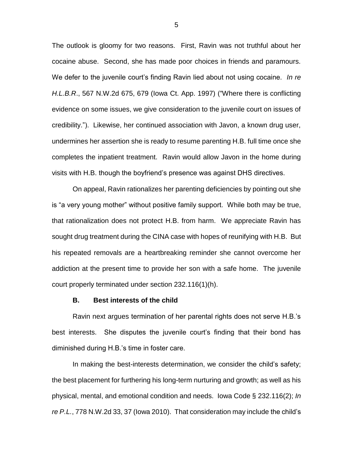The outlook is gloomy for two reasons. First, Ravin was not truthful about her cocaine abuse. Second, she has made poor choices in friends and paramours. We defer to the juvenile court's finding Ravin lied about not using cocaine. *In re H.L.B.R*., 567 N.W.2d 675, 679 (Iowa Ct. App. 1997) ("Where there is conflicting evidence on some issues, we give consideration to the juvenile court on issues of credibility."). Likewise, her continued association with Javon, a known drug user, undermines her assertion she is ready to resume parenting H.B. full time once she completes the inpatient treatment. Ravin would allow Javon in the home during visits with H.B. though the boyfriend's presence was against DHS directives.

On appeal, Ravin rationalizes her parenting deficiencies by pointing out she is "a very young mother" without positive family support. While both may be true, that rationalization does not protect H.B. from harm. We appreciate Ravin has sought drug treatment during the CINA case with hopes of reunifying with H.B. But his repeated removals are a heartbreaking reminder she cannot overcome her addiction at the present time to provide her son with a safe home. The juvenile court properly terminated under section 232.116(1)(h).

#### **B. Best interests of the child**

Ravin next argues termination of her parental rights does not serve H.B.'s best interests. She disputes the juvenile court's finding that their bond has diminished during H.B.'s time in foster care.

In making the best-interests determination, we consider the child's safety; the best placement for furthering his long-term nurturing and growth; as well as his physical, mental, and emotional condition and needs. Iowa Code § 232.116(2); *In re P.L.*, 778 N.W.2d 33, 37 (Iowa 2010). That consideration may include the child's

5